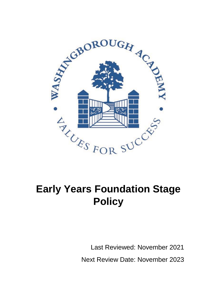

# **Early Years Foundation Stage Policy**

Last Reviewed: November 2021 Next Review Date: November 2023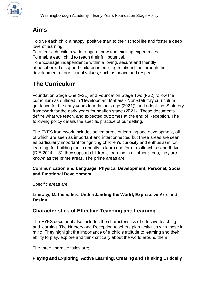

## **Aims**

To give each child a happy, positive start to their school life and foster a deep love of learning.

To offer each child a wide range of new and exciting experiences.

To enable each child to reach their full potential.

To encourage independence within a loving, secure and friendly atmosphere. To support children in building relationships through the development of our school values, such as peace and respect.

# **The Curriculum**

Foundation Stage One (FS1) and Foundation Stage Two (FS2) follow the curriculum as outlined in 'Development Matters - Non-statutory curriculum guidance for the early years foundation stage (2021)', and adopt the 'Statutory framework for the early years foundation stage (2021)'. These documents define what we teach, and expected outcomes at the end of Reception. The following policy details the specific practice of our setting.

The EYFS framework includes seven areas of learning and development, all of which are seen as important and interconnected but three areas are seen as particularly important for 'igniting children's curiosity and enthusiasm for learning, for building their capacity to learn and form relationships and thrive' (DfE 2014: 1.3), they support children's learning in all other areas, they are known as the prime areas. The prime areas are:

#### **Communication and Language, Physical Development, Personal, Social and Emotional Development**

Specific areas are:

#### **Literacy, Mathematics, Understanding the World, Expressive Arts and Design**

### **Characteristics of Effective Teaching and Learning**

The EYFS document also includes the characteristics of effective teaching and learning. The Nursery and Reception teachers plan activities with these in mind. They highlight the importance of a child's attitude to learning and their ability to play, explore and think critically about the world around them.

The three characteristics are;

#### **Playing and Exploring**, **Active Learning, Creating and Thinking Critically**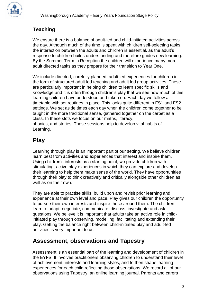

## **Teaching**

We ensure there is a balance of adult-led and child-initiated activities across the day. Although much of the time is spent with children self-selecting tasks, the interaction between the adults and children is essential, as the adult's response to children builds understanding and therefore guides new learning. By the Summer Term in Reception the children will experience many more adult directed tasks as they prepare for their transition to Year One.

We include directed, carefully planned, adult led experiences for children in the form of structured adult led teaching and adult led group activities. These are particularly important in helping children to learn specific skills and knowledge and it is often through children's play that we see how much of this learning children have understood and taken on. Each day we follow a timetable with set routines in place. This looks quite different in FS1 and FS2 settings. We set aside times each day when the children come together to be taught in the more traditional sense, gathered together on the carpet as a class. In these slots we focus on our maths, literacy, phonics, and stories. These sessions help to develop vital habits of

## **Play**

.

Learning.

Learning through play is an important part of our setting. We believe children learn best from activities and experiences that interest and inspire them. Using children's interests as a starting point, we provide children with stimulating, active play experiences in which they can explore and develop their learning to help them make sense of the world. They have opportunities through their play to think creatively and critically alongside other children as well as on their own.

They are able to practise skills, build upon and revisit prior learning and experience at their own level and pace. Play gives our children the opportunity to pursue their own interests and inspire those around them. The children learn to adapt, negotiate, communicate, discuss, investigate and ask questions. We believe it is important that adults take an active role in childinitiated play through observing, modelling, facilitating and extending their play. Getting the balance right between child-initiated play and adult-led activities is very important to us.

## **Assessment, observations and Tapestry**

Assessment is an essential part of the learning and development of children in the EYFS. It involves practitioners observing children to understand their level of achievement, interests and learning styles, and to then shape learning experiences for each child reflecting those observations. We record all of our observations using Tapestry, an online learning journal. Parents and carers